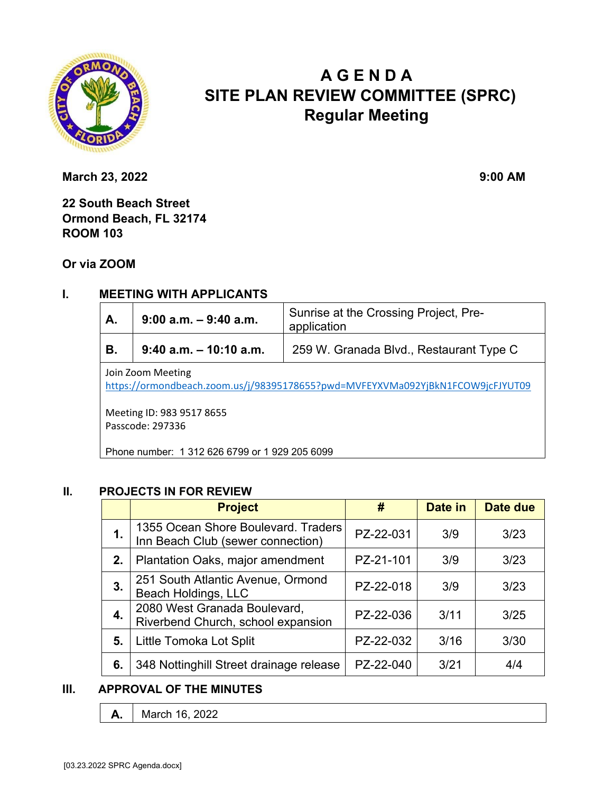

# **A G E N D A SITE PLAN REVIEW COMMITTEE (SPRC) Regular Meeting**

**March 23, 2022** 9:00 AM

**22 South Beach Street Ormond Beach, FL 32174 ROOM 103** 

## **Or via ZOOM**

## **I. MEETING WITH APPLICANTS**

| A. | $9:00$ a.m. $-9:40$ a.m.  | Sunrise at the Crossing Project, Pre-<br>application |  |
|----|---------------------------|------------------------------------------------------|--|
| В. | $9:40$ a.m. $-10:10$ a.m. | 259 W. Granada Blvd., Restaurant Type C              |  |

Join Zoom Meeting

https://ormondbeach.zoom.us/j/98395178655?pwd=MVFEYXVMa092YjBkN1FCOW9jcFJYUT09

Meeting ID: 983 9517 8655 Passcode: 297336

Phone number: 1 312 626 6799 or 1 929 205 6099

#### **II. PROJECTS IN FOR REVIEW**

|               | <b>Project</b>                                                           | #         | Date in | Date due |
|---------------|--------------------------------------------------------------------------|-----------|---------|----------|
| $\mathbf 1$ . | 1355 Ocean Shore Boulevard. Traders<br>Inn Beach Club (sewer connection) | PZ-22-031 | 3/9     | 3/23     |
| 2.            | Plantation Oaks, major amendment                                         | PZ-21-101 | 3/9     | 3/23     |
| 3.            | 251 South Atlantic Avenue, Ormond<br>Beach Holdings, LLC                 | PZ-22-018 | 3/9     | 3/23     |
| 4.            | 2080 West Granada Boulevard,<br>Riverbend Church, school expansion       | PZ-22-036 | 3/11    | 3/25     |
| 5.            | Little Tomoka Lot Split                                                  | PZ-22-032 | 3/16    | 3/30     |
| 6.            | 348 Nottinghill Street drainage release                                  | PZ-22-040 | 3/21    | 4/4      |

### **III. APPROVAL OF THE MINUTES**

**A.** March 16, 2022